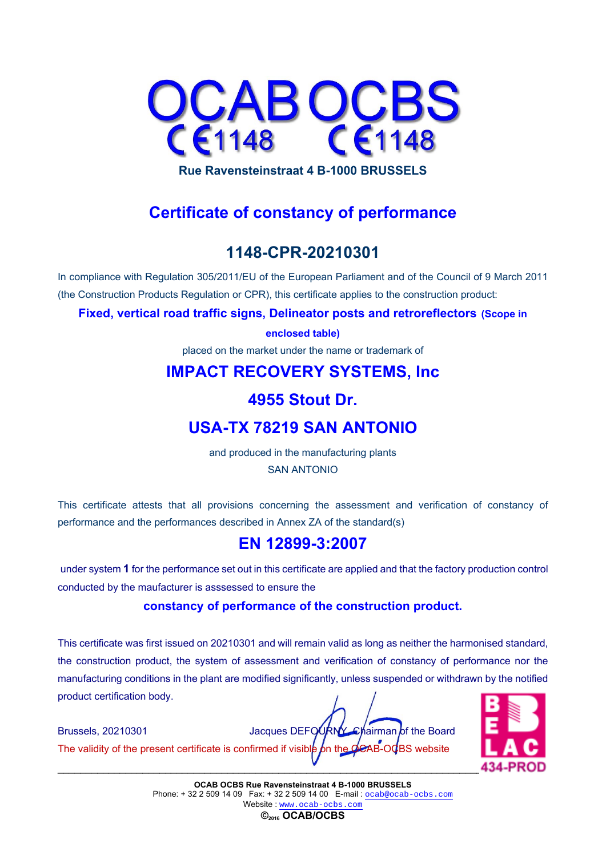

**Rue Ravensteinstraat 4 B-1000 BRUSSELS** 

# **Certificate of constancy of performance**

## **1148-CPR-20210301**

In compliance with Regulation 305/2011/EU of the European Parliament and of the Council of 9 March 2011 (the Construction Products Regulation or CPR), this certificate applies to the construction product:

**Fixed, vertical road traffic signs, Delineator posts and retroreflectors (Scope in** 

**enclosed table)**

placed on the market under the name or trademark of

### **IMPACT RECOVERY SYSTEMS, Inc**

### **4955 Stout Dr.**

### **USA-TX 78219 SAN ANTONIO**

and produced in the manufacturing plants SAN ANTONIO

This certificate attests that all provisions concerning the assessment and verification of constancy of performance and the performances described in Annex ZA of the standard(s)

## **EN 12899-3:2007**

under system **1** for the performance set out in this certificate are applied and that the factory production control conducted by the maufacturer is asssessed to ensure the

### **constancy of performance of the construction product.**

This certificate was first issued on 20210301 and will remain valid as long as neither the harmonised standard, the construction product, the system of assessment and verification of constancy of performance nor the manufacturing conditions in the plant are modified significantly, unless suspended or withdrawn by the notified product certification body.

Brussels, 20210301 **State State Search State Search State Search State Search State Search State Search State Search State Search State Search State Search State Search State Search State Search State Search State Search S** The validity of the present certificate is confirmed if visible on the CCAB-OCBS website



**OCAB OCBS Rue Ravensteinstraat 4 B-1000 BRUSSELS**  Phone: +32 2 509 14 09 Fax: +32 2 509 14 00 E-mail : ocab@ocab-ocbs.com Website : www.ocab-ocbs.com

**©2016 OCAB/OCBS**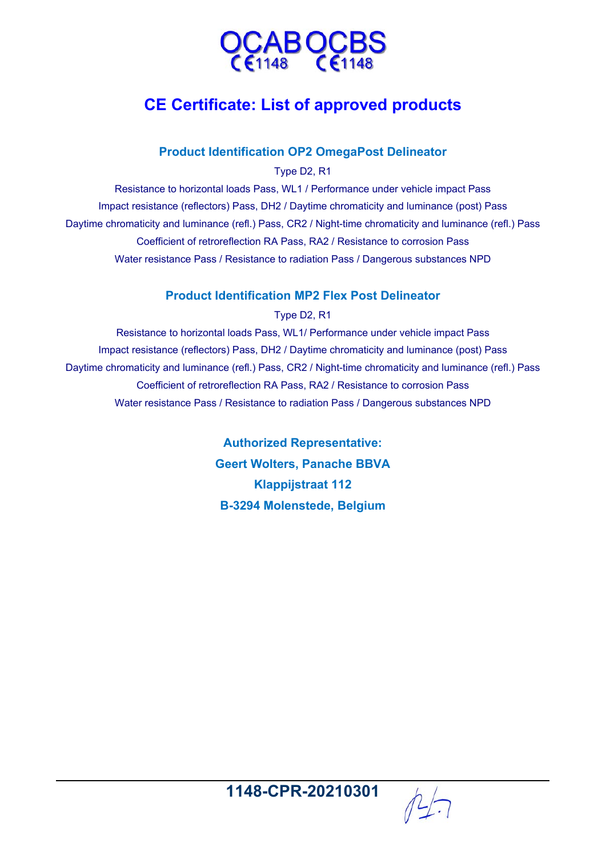

# **CE Certificate: List of approved products**

### **Product Identification OP2 OmegaPost Delineator**

Type D2, R1

Resistance to horizontal loads Pass, WL1 / Performance under vehicle impact Pass Impact resistance (reflectors) Pass, DH2 / Daytime chromaticity and luminance (post) Pass Daytime chromaticity and luminance (refl.) Pass, CR2 / Night-time chromaticity and luminance (refl.) Pass Coefficient of retroreflection RA Pass, RA2 / Resistance to corrosion Pass Water resistance Pass / Resistance to radiation Pass / Dangerous substances NPD

### **Product Identification MP2 Flex Post Delineator**

Type D2, R1

Resistance to horizontal loads Pass, WL1/ Performance under vehicle impact Pass Impact resistance (reflectors) Pass, DH2 / Daytime chromaticity and luminance (post) Pass Daytime chromaticity and luminance (refl.) Pass, CR2 / Night-time chromaticity and luminance (refl.) Pass Coefficient of retroreflection RA Pass, RA2 / Resistance to corrosion Pass Water resistance Pass / Resistance to radiation Pass / Dangerous substances NPD

> **Authorized Representative: Geert Wolters, Panache BBVA Klappijstraat 112 B-3294 Molenstede, Belgium**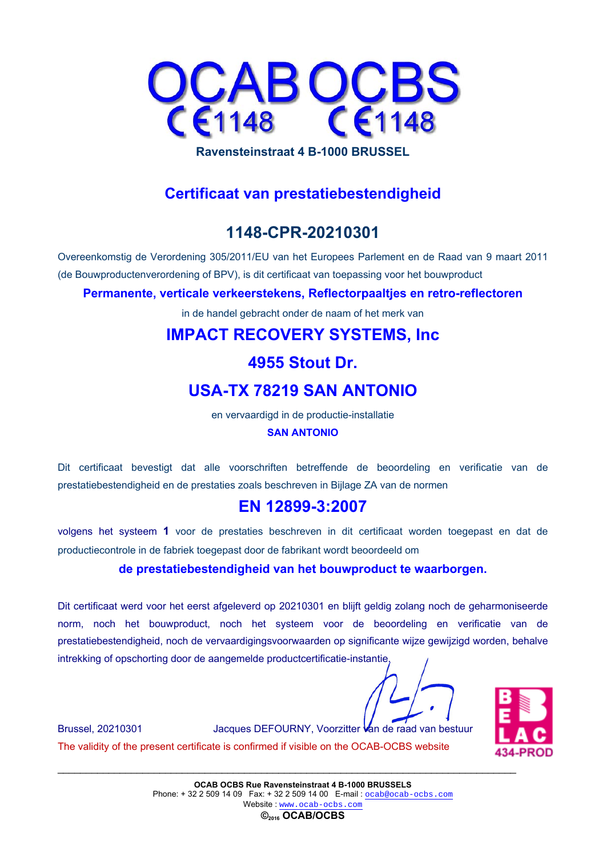

### **Certificaat van prestatiebestendigheid**

# **1148-CPR-20210301**

Overeenkomstig de Verordening 305/2011/EU van het Europees Parlement en de Raad van 9 maart 2011 (de Bouwproductenverordening of BPV), is dit certificaat van toepassing voor het bouwproduct

### **Permanente, verticale verkeerstekens, Reflectorpaaltjes en retro-reflectoren**

in de handel gebracht onder de naam of het merk van

# **IMPACT RECOVERY SYSTEMS, Inc**

### **4955 Stout Dr.**

# **USA-TX 78219 SAN ANTONIO**

en vervaardigd in de productie-installatie **SAN ANTONIO**

Dit certificaat bevestigt dat alle voorschriften betreffende de beoordeling en verificatie van de prestatiebestendigheid en de prestaties zoals beschreven in Bijlage ZA van de normen

### **EN 12899-3:2007**

volgens het systeem **1** voor de prestaties beschreven in dit certificaat worden toegepast en dat de productiecontrole in de fabriek toegepast door de fabrikant wordt beoordeeld om

### **de prestatiebestendigheid van het bouwproduct te waarborgen.**

Dit certificaat werd voor het eerst afgeleverd op 20210301 en blijft geldig zolang noch de geharmoniseerde norm, noch het bouwproduct, noch het systeem voor de beoordeling en verificatie van de prestatiebestendigheid, noch de vervaardigingsvoorwaarden op significante wijze gewijzigd worden, behalve intrekking of opschorting door de aangemelde productcertificatie-instantie.



Brussel, 20210301 Jacques DEFOURNY, Voorzitter van de raad van bestuur The validity of the present certificate is confirmed if visible on the OCAB-OCBS website

**©2016 OCAB/OCBS**